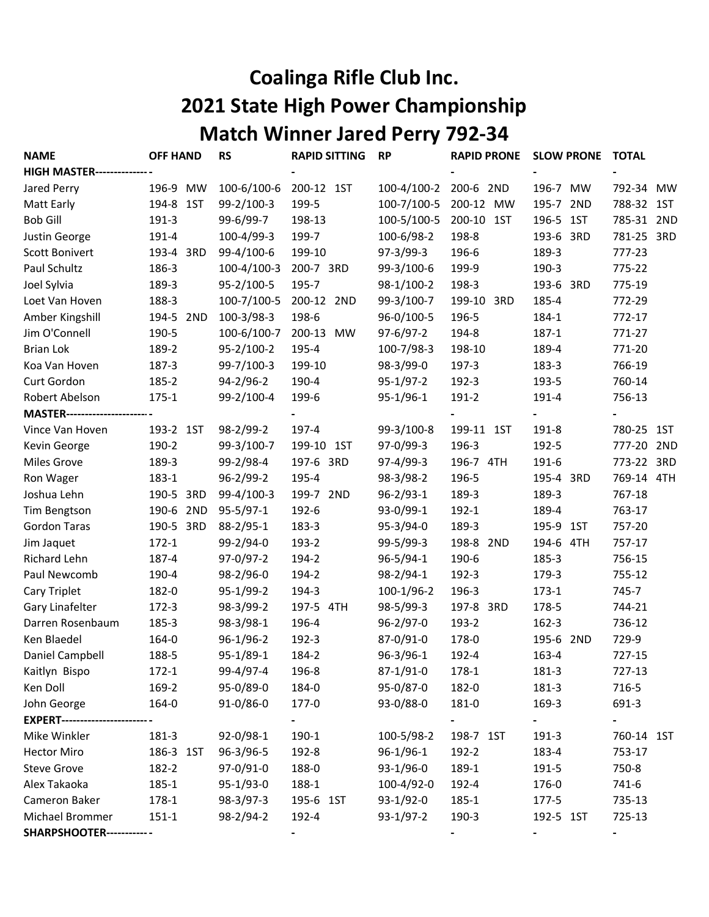## Coalinga Rifle Club Inc. 2021 State High Power Championship Match Winner Jared Perry 792-34

| <b>NAME</b>                         | <b>OFF HAND</b> | <b>RS</b>         | <b>RAPID SITTING</b> | <b>RP</b>       | <b>RAPID PRONE</b> | <b>SLOW PRONE</b> | TOTAL               |  |
|-------------------------------------|-----------------|-------------------|----------------------|-----------------|--------------------|-------------------|---------------------|--|
| <b>HIGH MASTER-----------------</b> |                 |                   |                      |                 |                    |                   |                     |  |
| Jared Perry                         | 196-9 MW        | 100-6/100-6       | 200-12 1ST           | 100-4/100-2     | 200-6 2ND          | 196-7 MW          | 792-34<br><b>MW</b> |  |
| Matt Early                          | 194-8 1ST       | 99-2/100-3        | 199-5                | 100-7/100-5     | 200-12 MW          | 195-7 2ND         | 788-32 1ST          |  |
| <b>Bob Gill</b>                     | 191-3           | 99-6/99-7         | 198-13               | 100-5/100-5     | 200-10 1ST         | 196-5 1ST         | 785-31 2ND          |  |
| Justin George                       | 191-4           | 100-4/99-3        | 199-7                | 100-6/98-2      | 198-8              | 193-6 3RD         | 781-25 3RD          |  |
| <b>Scott Bonivert</b>               | 193-4 3RD       | 99-4/100-6        | 199-10               | $97-3/99-3$     | 196-6              | 189-3             | 777-23              |  |
| Paul Schultz                        | 186-3           | $100 - 4/100 - 3$ | 200-7 3RD            | 99-3/100-6      | 199-9              | 190-3             | 775-22              |  |
| Joel Sylvia                         | 189-3           | 95-2/100-5        | 195-7                | 98-1/100-2      | 198-3              | 193-6 3RD         | 775-19              |  |
| Loet Van Hoven                      | 188-3           | 100-7/100-5       | 200-12 2ND           | 99-3/100-7      | 199-10 3RD         | 185-4             | 772-29              |  |
| Amber Kingshill                     | 194-5 2ND       | 100-3/98-3        | 198-6                | 96-0/100-5      | 196-5              | 184-1             | 772-17              |  |
| Jim O'Connell                       | 190-5           | 100-6/100-7       | 200-13 MW            | 97-6/97-2       | 194-8              | 187-1             | 771-27              |  |
| <b>Brian Lok</b>                    | 189-2           | 95-2/100-2        | 195-4                | 100-7/98-3      | 198-10             | 189-4             | 771-20              |  |
| Koa Van Hoven                       | 187-3           | 99-7/100-3        | 199-10               | 98-3/99-0       | 197-3              | 183-3             | 766-19              |  |
| Curt Gordon                         | 185-2           | 94-2/96-2         | 190-4                | $95-1/97-2$     | 192-3              | 193-5             | 760-14              |  |
| Robert Abelson                      | $175 - 1$       | 99-2/100-4        | 199-6                | $95-1/96-1$     | 191-2              | 191-4             | 756-13              |  |
| <b>MASTER---------------------</b>  |                 |                   |                      |                 |                    |                   |                     |  |
| Vince Van Hoven                     | 193-2 1ST       | 98-2/99-2         | 197-4                | 99-3/100-8      | 199-11 1ST         | 191-8             | 780-25<br>1ST       |  |
| Kevin George                        | 190-2           | 99-3/100-7        | 199-10 1ST           | 97-0/99-3       | 196-3              | 192-5             | 777-20 2ND          |  |
| <b>Miles Grove</b>                  | 189-3           | 99-2/98-4         | 197-6 3RD            | $97-4/99-3$     | 196-7 4TH          | 191-6             | 773-22 3RD          |  |
| Ron Wager                           | 183-1           | $96 - 2/99 - 2$   | 195-4                | 98-3/98-2       | 196-5              | 195-4 3RD         | 769-14 4TH          |  |
| Joshua Lehn                         | 190-5 3RD       | 99-4/100-3        | 199-7 2ND            | $96 - 2/93 - 1$ | 189-3              | 189-3             | 767-18              |  |
| Tim Bengtson                        | 190-6 2ND       | $95 - 5/97 - 1$   | 192-6                | 93-0/99-1       | 192-1              | 189-4             | 763-17              |  |
| <b>Gordon Taras</b>                 | 190-5 3RD       | 88-2/95-1         | 183-3                | $95 - 3/94 - 0$ | 189-3              | 195-9 1ST         | 757-20              |  |
| Jim Jaquet                          | $172 - 1$       | 99-2/94-0         | 193-2                | 99-5/99-3       | 198-8 2ND          | 194-6 4TH         | 757-17              |  |
| Richard Lehn                        | 187-4           | 97-0/97-2         | 194-2                | $96 - 5/94 - 1$ | 190-6              | 185-3             | 756-15              |  |
| Paul Newcomb                        | 190-4           | $98-2/96-0$       | 194-2                | 98-2/94-1       | 192-3              | 179-3             | 755-12              |  |
| Cary Triplet                        | 182-0           | 95-1/99-2         | 194-3                | 100-1/96-2      | 196-3              | $173 - 1$         | 745-7               |  |
| Gary Linafelter                     | $172 - 3$       | 98-3/99-2         | 197-5 4TH            | 98-5/99-3       | 197-8 3RD          | 178-5             | 744-21              |  |
| Darren Rosenbaum                    | 185-3           | 98-3/98-1         | 196-4                | $96 - 2/97 - 0$ | 193-2              | $162 - 3$         | 736-12              |  |
| Ken Blaedel                         | 164-0           | $96-1/96-2$       | 192-3                | 87-0/91-0       | 178-0              | 195-6 2ND         | 729-9               |  |
| Daniel Campbell                     | 188-5           | $95-1/89-1$       | 184-2                | $96 - 3/96 - 1$ | 192-4              | 163-4             | 727-15              |  |
| Kaitlyn Bispo                       | $172 - 1$       | 99-4/97-4         | 196-8                | $87 - 1/91 - 0$ | 178-1              | 181-3             | 727-13              |  |
| Ken Doll                            | 169-2           | 95-0/89-0         | 184-0                | 95-0/87-0       | 182-0              | 181-3             | 716-5               |  |
| John George                         | 164-0           | $91 - 0/86 - 0$   | 177-0                | 93-0/88-0       | 181-0              | 169-3             | 691-3               |  |
| <b>EXPERT---------------------</b>  |                 |                   |                      |                 |                    |                   |                     |  |
| Mike Winkler                        | 181-3           | 92-0/98-1         | 190-1                | 100-5/98-2      | 198-7 1ST          | 191-3             | 760-14 1ST          |  |
| <b>Hector Miro</b>                  | 186-3 1ST       | 96-3/96-5         | 192-8                | $96-1/96-1$     | 192-2              | 183-4             | 753-17              |  |
| <b>Steve Grove</b>                  | 182-2           | 97-0/91-0         | 188-0                | $93-1/96-0$     | 189-1              | 191-5             | 750-8               |  |
| Alex Takaoka                        | 185-1           | 95-1/93-0         | 188-1                | 100-4/92-0      | 192-4              | 176-0             | 741-6               |  |
| Cameron Baker                       | $178-1$         | 98-3/97-3         | 195-6 1ST            | $93-1/92-0$     | 185-1              | 177-5             | 735-13              |  |
| Michael Brommer                     | $151 - 1$       | 98-2/94-2         | 192-4                | $93-1/97-2$     | 190-3              | 192-5 1ST         | 725-13              |  |
| <b>SHARPSHOOTER--------------</b>   |                 |                   |                      |                 |                    |                   |                     |  |